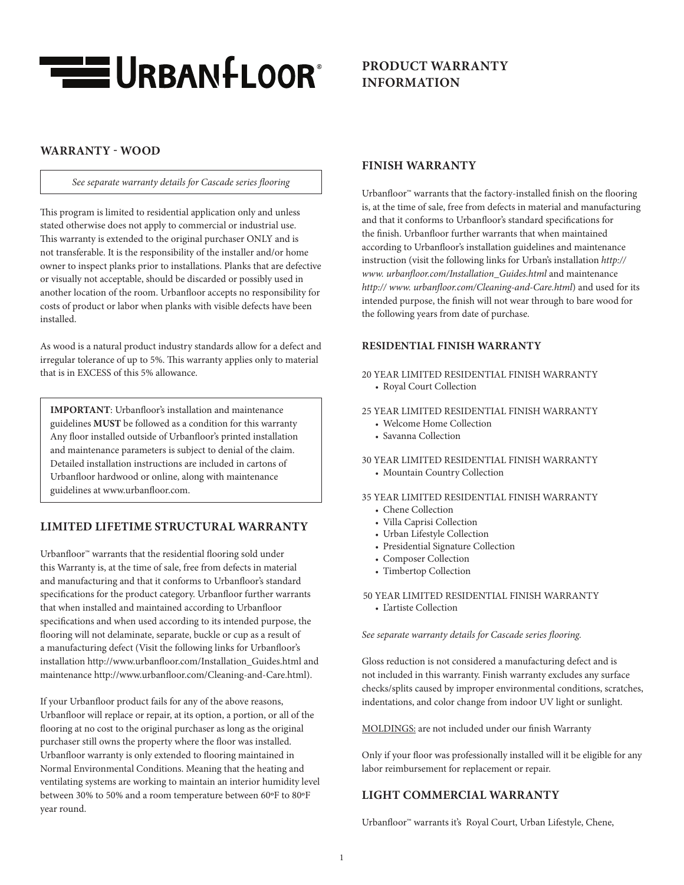

# **PRODUCT WARRANTY INFORMATION**

## **WARRANTY - WOOD**

#### *See separate warranty details for Cascade series flooring*

This program is limited to residential application only and unless stated otherwise does not apply to commercial or industrial use. This warranty is extended to the original purchaser ONLY and is not transferable. It is the responsibility of the installer and/or home owner to inspect planks prior to installations. Planks that are defective or visually not acceptable, should be discarded or possibly used in another location of the room. Urbanfloor accepts no responsibility for costs of product or labor when planks with visible defects have been installed.

As wood is a natural product industry standards allow for a defect and irregular tolerance of up to 5%. This warranty applies only to material that is in EXCESS of this 5% allowance.

**IMPORTANT**: Urbanfloor's installation and maintenance guidelines **MUST** be followed as a condition for this warranty Any floor installed outside of Urbanfloor's printed installation and maintenance parameters is subject to denial of the claim. Detailed installation instructions are included in cartons of Urbanfloor hardwood or online, along with maintenance guidelines at www.urbanfloor.com.

# **LIMITED LIFETIME STRUCTURAL WARRANTY**

Urbanfloor<sup>™</sup> warrants that the residential flooring sold under this Warranty is, at the time of sale, free from defects in material and manufacturing and that it conforms to Urbanfloor's standard specifications for the product category. Urbanfloor further warrants that when installed and maintained according to Urbanfloor specifications and when used according to its intended purpose, the flooring will not delaminate, separate, buckle or cup as a result of a manufacturing defect (Visit the following links for Urbanfloor's installation http://www.urbanfloor.com/Installation\_Guides.html and maintenance http://www.urbanfloor.com/Cleaning-and-Care.html).

If your Urbanfloor product fails for any of the above reasons, Urbanfloor will replace or repair, at its option, a portion, or all of the flooring at no cost to the original purchaser as long as the original purchaser still owns the property where the floor was installed. Urbanfloor warranty is only extended to flooring maintained in Normal Environmental Conditions. Meaning that the heating and ventilating systems are working to maintain an interior humidity level between 30% to 50% and a room temperature between 60ºF to 80ºF year round.

#### **FINISH WARRANTY**

Urbanfloor<sup>™</sup> warrants that the factory-installed finish on the flooring is, at the time of sale, free from defects in material and manufacturing and that it conforms to Urbanfloor's standard specifications for the finish. Urbanfloor further warrants that when maintained according to Urbanfloor's installation guidelines and maintenance instruction (visit the following links for Urban's installation *http:// www. urbanfloor.com/Installation\_Guides.html* and maintenance *http:// www. urbanfloor.com/Cleaning-and-Care.html*) and used for its intended purpose, the finish will not wear through to bare wood for the following years from date of purchase.

#### **RESIDENTIAL FINISH WARRANTY**

- 20 YEAR LIMITED RESIDENTIAL FINISH WARRANTY • Royal Court Collection
- 25 YEAR LIMITED RESIDENTIAL FINISH WARRANTY
	- Welcome Home Collection
	- Savanna Collection
- 30 YEAR LIMITED RESIDENTIAL FINISH WARRANTY
	- Mountain Country Collection
- 35 YEAR LIMITED RESIDENTIAL FINISH WARRANTY
	- Chene Collection
	- Villa Caprisi Collection
	- Urban Lifestyle Collection
	- Presidential Signature Collection
	- Composer Collection
	- Timbertop Collection

50 YEAR LIMITED RESIDENTIAL FINISH WARRANTY • L'artiste Collection

*See separate warranty details for Cascade series flooring.*

Gloss reduction is not considered a manufacturing defect and is not included in this warranty. Finish warranty excludes any surface checks/splits caused by improper environmental conditions, scratches, indentations, and color change from indoor UV light or sunlight.

MOLDINGS: are not included under our finish Warranty

Only if your floor was professionally installed will it be eligible for any labor reimbursement for replacement or repair.

#### **LIGHT COMMERCIAL WARRANTY**

Urbanfloor™ warrants it's Royal Court, Urban Lifestyle, Chene,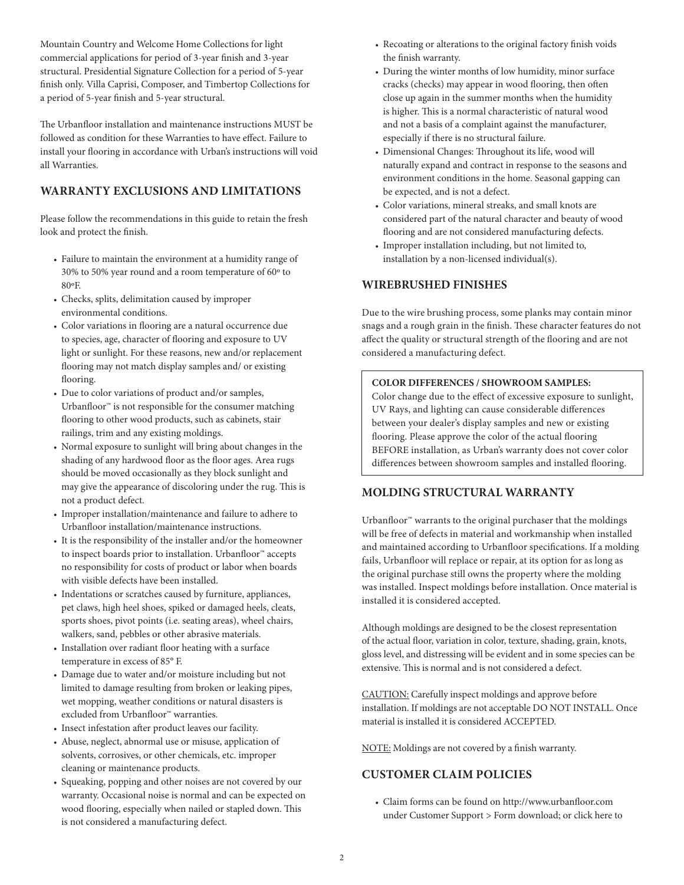Mountain Country and Welcome Home Collections for light commercial applications for period of 3-year finish and 3-year structural. Presidential Signature Collection for a period of 5-year finish only. Villa Caprisi, Composer, and Timbertop Collections for a period of 5-year finish and 5-year structural.

The Urbanfloor installation and maintenance instructions MUST be followed as condition for these Warranties to have effect. Failure to install your flooring in accordance with Urban's instructions will void all Warranties.

# **WARRANTY EXCLUSIONS AND LIMITATIONS**

Please follow the recommendations in this guide to retain the fresh look and protect the finish.

- Failure to maintain the environment at a humidity range of 30% to 50% year round and a room temperature of 60º to 80ºF.
- Checks, splits, delimitation caused by improper environmental conditions.
- Color variations in flooring are a natural occurrence due to species, age, character of flooring and exposure to UV light or sunlight. For these reasons, new and/or replacement flooring may not match display samples and/ or existing flooring.
- Due to color variations of product and/or samples, Urbanfloor<sup>™</sup> is not responsible for the consumer matching flooring to other wood products, such as cabinets, stair railings, trim and any existing moldings.
- Normal exposure to sunlight will bring about changes in the shading of any hardwood floor as the floor ages. Area rugs should be moved occasionally as they block sunlight and may give the appearance of discoloring under the rug. This is not a product defect.
- Improper installation/maintenance and failure to adhere to Urbanfloor installation/maintenance instructions.
- It is the responsibility of the installer and/or the homeowner to inspect boards prior to installation. Urbanfloor™ accepts no responsibility for costs of product or labor when boards with visible defects have been installed.
- Indentations or scratches caused by furniture, appliances, pet claws, high heel shoes, spiked or damaged heels, cleats, sports shoes, pivot points (i.e. seating areas), wheel chairs, walkers, sand, pebbles or other abrasive materials.
- Installation over radiant floor heating with a surface temperature in excess of 85° F.
- Damage due to water and/or moisture including but not limited to damage resulting from broken or leaking pipes, wet mopping, weather conditions or natural disasters is excluded from Urbanfloor™ warranties.
- Insect infestation after product leaves our facility.
- Abuse, neglect, abnormal use or misuse, application of solvents, corrosives, or other chemicals, etc. improper cleaning or maintenance products.
- Squeaking, popping and other noises are not covered by our warranty. Occasional noise is normal and can be expected on wood flooring, especially when nailed or stapled down. This is not considered a manufacturing defect.
- Recoating or alterations to the original factory finish voids the finish warranty.
- During the winter months of low humidity, minor surface cracks (checks) may appear in wood flooring, then often close up again in the summer months when the humidity is higher. This is a normal characteristic of natural wood and not a basis of a complaint against the manufacturer, especially if there is no structural failure.
- Dimensional Changes: Throughout its life, wood will naturally expand and contract in response to the seasons and environment conditions in the home. Seasonal gapping can be expected, and is not a defect.
- Color variations, mineral streaks, and small knots are considered part of the natural character and beauty of wood flooring and are not considered manufacturing defects.
- Improper installation including, but not limited to, installation by a non-licensed individual(s).

### **WIREBRUSHED FINISHES**

Due to the wire brushing process, some planks may contain minor snags and a rough grain in the finish. These character features do not affect the quality or structural strength of the flooring and are not considered a manufacturing defect.

#### **COLOR DIFFERENCES / SHOWROOM SAMPLES:**

Color change due to the effect of excessive exposure to sunlight, UV Rays, and lighting can cause considerable differences between your dealer's display samples and new or existing flooring. Please approve the color of the actual flooring BEFORE installation, as Urban's warranty does not cover color differences between showroom samples and installed flooring.

### **MOLDING STRUCTURAL WARRANTY**

Urbanfloor<sup>™</sup> warrants to the original purchaser that the moldings will be free of defects in material and workmanship when installed and maintained according to Urbanfloor specifications. If a molding fails, Urbanfloor will replace or repair, at its option for as long as the original purchase still owns the property where the molding was installed. Inspect moldings before installation. Once material is installed it is considered accepted.

Although moldings are designed to be the closest representation of the actual floor, variation in color, texture, shading, grain, knots, gloss level, and distressing will be evident and in some species can be extensive. This is normal and is not considered a defect.

CAUTION: Carefully inspect moldings and approve before installation. If moldings are not acceptable DO NOT INSTALL. Once material is installed it is considered ACCEPTED.

NOTE: Moldings are not covered by a finish warranty.

# **CUSTOMER CLAIM POLICIES**

• Claim forms can be found on http://www.urbanfloor.com under Customer Support > Form download; or click here to